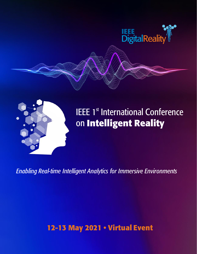



# **IEEE 1st International Conference** on Intelligent Reality

**Enabling Real-time Intelligent Analytics for Immersive Environments** 

12-13 May 2021 . Virtual Event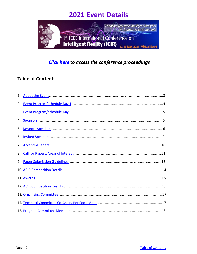

## *[Click here](https://ieeexplore.ieee.org/xpl/conhome/9480800/proceeding) to access the conference proceedings*

## <span id="page-1-0"></span>**Table of Contents**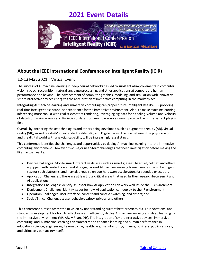

## <span id="page-2-0"></span>**About the IEEE International Conference on Intelligent Reality (ICIR)**

### 12-13 May 2021 | Virtual Event

The success of AI machine learning in deep neural networks has led to substantial improvements in computer vision, speech recognition, natural language processing, and other applications at comparable human performance and beyond. The advancement of computer graphics, modeling, and simulation with innovative smart interactive devices energizes the acceleration of immersive computing in the marketplace.

Integrating AI machine learning and immersive computing can propel future Intelligent Reality (IR), providing real-time intelligent assistant user experience for the immersive environment. Also, to make machine learning inferencing more robust with realistic content rendering, leveraging big data for handling Volume and Velocity of data from a single source or Varieties of data from multiple sources would provide the IR the perfect playing field.

Overall, by anchoring these technologies and others being developed such as augmented reality (AR), virtual reality (VR), mixed reality (MR), extended reality (XR), and Digital Twins, the line between the physical world and the digital world with analytics capability will be increasingly less distinct.

This conference identifies the challenges and opportunities to deploy AI machine learning into the immersive computing environment. However, two major near-term challenges that need investigation before making the IR an actual reality:

- Device Challenges: Mobile smart interactive devices such as smart glasses, headset, helmet, and others equipped with limited power and storage, current AI machine learning trained models could be huge in size for such platforms, and may also require unique hardware accelerators for speedup execution.
- Application Challenges: There are at least four critical areas that need further research between IR and AI application:
- Integration Challenges: identify issues for how AI Application can work well inside the IR environment;
- Deployment Challenges: identify issues for how AI application can deploy to the IR environment;
- Operation Challenges: user interface, content and context switching, and others; and
- Social/Ethical Challenges: user behavior, safety, privacy, and others.

This conference aims to foster the IR vision by understanding current best practices, future innovations, and standards development for how to effectively and efficiently deploy AI machine learning and deep learning to the immersive environment (VR, AR, MR, and XR). The integration of smart interactive devices, immersive computing, and AI machine learning can transform and enhance learning and human performance in education, science, engineering, telemedicine, healthcare, manufacturing, finance, business, public services, and ultimately our society itself.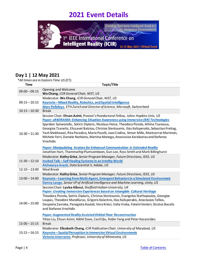

### <span id="page-3-0"></span>**Day 1 | 12 May 2021**

*\*All times are in Eastern Time US (ET).*

| <b>Time</b>     | All thries are in Eastern rine $\sigma$ s (ET).<br>Topic/Title                                                                                                                                                                                                                                                                                                                                                                                                                                                                                                             |
|-----------------|----------------------------------------------------------------------------------------------------------------------------------------------------------------------------------------------------------------------------------------------------------------------------------------------------------------------------------------------------------------------------------------------------------------------------------------------------------------------------------------------------------------------------------------------------------------------------|
| $09:00 - 09:15$ | Opening and Welcome<br>Wo Chang, ICIR General Chair, NIST, US                                                                                                                                                                                                                                                                                                                                                                                                                                                                                                              |
| $09:15 - 10:15$ | Moderator: Wo Chang, ICIR General Chair, NIST, US<br>Keynote-Mixed Reality, Robotics, and Spatial Intelligence<br>Marc Pollefeys, ETH Zurich and Director of Science, Microsoft, Switzerland                                                                                                                                                                                                                                                                                                                                                                               |
| $10:15 - 10:30$ | <b>Break</b>                                                                                                                                                                                                                                                                                                                                                                                                                                                                                                                                                               |
| $10:30 - 11:30$ | Session Chair: Ehsan Azimi, Provost's Postdoctoral Fellow, Johns Hopkins Univ, US<br>Paper: xR4DRAMA: Enhancing Situation Awareness using Immersive (XR) Technologies<br>Spyridon Symeonidis, Sotiris Diplaris, Nicolaus Heise, Theodora Pistola, Athina Tsanousa,<br>Georgios Tzanetis, Elissavet Batziou, Christos Stentoumis, Ilias Kalisperakis, Sebastian Freitag,<br>Yash Shekhawat, Rita Paradiso, Maria Pacelli, Joan Codina, Simon Mille, Montserrat Marimon,<br>Michele Ferri, Daniele Norbiato, Martina Monego, Anastasios Karakostas and Stefanos<br>Vrochidis |
|                 | <b>Paper: Manipulating Avatars for Enhanced Communication in Extended Reality</b><br>Jonathon Hart, Thammathip Piumsomboon, Gun Lee, Ross Smith and Mark Billinghurst                                                                                                                                                                                                                                                                                                                                                                                                      |
| $11:30 - 12:10$ | Moderator: Kathy Grise, Senior Program Manager, Future Directions, IEEE, US<br>Invited Talk - Self Healing Systems in an Intelity World<br>Aishwarya Asesh, Data Scientist II, Adobe, US                                                                                                                                                                                                                                                                                                                                                                                   |
| $12:10 - 13:00$ | <b>Meal Break</b>                                                                                                                                                                                                                                                                                                                                                                                                                                                                                                                                                          |
| $13:00 - 14:00$ | Moderator: Kathy Grise, Senior Program Manager, Future Directions, IEEE, US<br>Keynote-Learning from Multi-Agent, Emergent Behaviors in a Simulated Environment<br>Danny Lange, Senior VP of Artificial Intelligence and Machine Learning, Unity, US                                                                                                                                                                                                                                                                                                                       |
| $14:00 - 15:00$ | Session Chair: Lyuba Alboul, Sheffield Hallam University, UK<br>Paper: Creating Immersive Experiences based on Intangible Cultural Heritage<br>Theodora Pistola, Sotiris Diplaris, Christos Stentoumis, Evangelos Stathopoulos, Georgios<br>Loupas, Theodore Mandilaras, Grigoris Kalantzis, Ilias Kalisperakis, Anastasios Tellios,<br>Despoina Zavraka, Panagiota Koulali, Vera Kriezi, Valia Vraka, Foteini Venieri, Stratos Bacalis<br>and Stefanos Vrochidis                                                                                                          |
|                 | <b>Paper: Augmented Reality Assisted Orbital Floor Reconstruction</b><br>Yihao Liu, Ehsan Azimi, Nikhil Dave, Cecil Qiu, Robin Yang and Peter Kazanzides                                                                                                                                                                                                                                                                                                                                                                                                                   |
| $15:00 - 15:15$ | <b>Break</b>                                                                                                                                                                                                                                                                                                                                                                                                                                                                                                                                                               |
| $15:15 - 16:15$ | Moderator: Elizabeth Chang, ICIR Publication Chair, University of Maryland, US<br>Keynote - Spatial Perception in Immersive Virtual Environments<br>Victoria Interrante, Professor, University of Minnesota, US                                                                                                                                                                                                                                                                                                                                                            |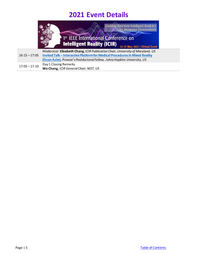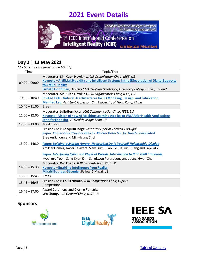

### <span id="page-5-0"></span>**Day 2 | 13 May 2021**

*\*All times are in Eastern Time US (ET).*

| <b>Time</b>     | Topic/Title                                                                                    |
|-----------------|------------------------------------------------------------------------------------------------|
|                 | Moderator: Sin-Kuen Hawkins, ICIR Organization Chair, IEEE, US                                 |
| $09:00 - 09:00$ | Keynote - Artificial Stupidity and Intelligent Systems in the (R)evolution of Digital Supports |
|                 | to Actual Reality                                                                              |
|                 | Lizbeth Goodman, Director SMARTIab and Professor, University College Dublin, Ireland           |
|                 | Moderator: Sin-Kuen Hawkins, ICIR Organization Chair, IEEE, US                                 |
| $10:00 - 10:40$ | Invited Talk - Natural User Interfaces for 3D Modeling, Design, and Fabrication                |
|                 | Manfred Lau, Assistant Professor, City University of Hong Kong, China                          |
| $10:40 - 11:00$ | <b>Break</b>                                                                                   |
|                 | Moderator: Julie Bernicker, ICIR Communication Chair, IEEE, US                                 |
| $11:00 - 12:00$ | Keynote – Vision of how AI Machine Learning Applies to VR/AR for Health Applications           |
|                 | Jennifer Esposito, VP Health, Magic Leap, US                                                   |
| $12:00 - 13:00$ | Meal Break                                                                                     |
|                 | Session Chair: Joaquim Jorge, Instituto Superior Técnico, Portugal                             |
|                 | <b>Paper: Corner-based Square Fiducial Marker Detection for Hand-manipulated</b>               |
|                 | Breawn Schoun and Min-Hyung Choi                                                               |
| $13:00 - 14:30$ | Paper: Building a Motion-Aware, Networked Do-It-Yourself Holographic Display                   |
|                 | Amilcar Gomez, Javier Talavera, Siem Sium, Biao Xie, Haikun Huang and Lap-Fal Yu               |
|                 | Paper: Interfacing Cyber and Physical Worlds: Introduction to IEEE 2888 Standards              |
|                 | Kyoungro Yoon, Sang-Kyun Kim, Sangkwon Peter Jeong and Jeong-Hwan Choi                         |
|                 | Moderator: Wo Chang, ICIR General Chair, NIST, US                                              |
| $14:30 - 15:30$ | Keynote - Enabling Intelligence from Reality                                                   |
|                 | Mikaël Bourges-Sévenier, Fellow, SiMa.ai, US                                                   |
| $15:30 - 15:45$ | <b>Break</b>                                                                                   |
| $15:45 - 16:45$ | Session Chair: Louis Nisiotis, ICIR Competition Chair, Cyprus<br>Competition                   |
| $16:45 - 17:00$ | <b>Award Ceremony and Closing Remarks</b>                                                      |
|                 | Wo Chang, ICIR General Chair, NIST, US                                                         |

### <span id="page-5-1"></span>**Sponsors**





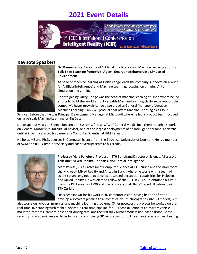

### <span id="page-6-0"></span>**Keynote Speakers**

<span id="page-6-2"></span>

### **Dr. Danny Lange**, Senior VP of Artificial Intelligence and Machine Learning at Unity **Talk Title**: **Learning from Multi-Agent, Emergent Behaviors in a Simulated Environment**

As head of machine learning at Unity, Lange leads the company's innovation around AI (Artificial Intelligence) and Machine Learning, focusing on bringing AI to simulation and gaming.

Prior to joining Unity, Lange was the head of machine learning at Uber, where he led efforts to build the world's most versatile Machine Learning platform to support the company's hyper-growth. Lange also served as General Manager of Amazon Machine Learning -- an AWS product that offers Machine Learning as a Cloud

Service. Before that, he was Principal Development Manager at Microsoft where he led a product team focused on large-scale Machine Learning for Big Data.

Lange spent 8 years on Speech Recognition Systems, first as CTO of General Magic, Inc., then through his work on General Motor's OnStar Virtual Advisor, one of the largest deployments of an intelligent personal assistant until Siri. Danny started his career as a Computer Scientist at IBM Research.

He holds MS and Ph.D. degrees in Computer Science from the Technical University of Denmark. He is a member of ACM and IEEE Computer Society and has several patentsto his credit.

<span id="page-6-1"></span>

### **Professor Marc Pollefeys**, Professor, ETH ZurichandDirector of Science, Microsoft **Talk Title**: **Mixed Reality, Robotics, andSpatialIntelligence**

Marc Pollefeys is a Professor of Computer Science at ETH Zurich and the Director of the Microsoft Mixed Reality and AI Lab in Zurich where he works with a team of scientists and engineers to develop advanced perception capabilities for HoloLens and Mixed Reality. He was elected Fellow of the IEEE in 2012. He obtained his PhD from the KU Leuven in 1999 and was a professor at UNC-Chapel Hill before joining ETH Zurich.

He is best known for his work in 3D computer vision, having been the first to develop a software pipeline to automatically turn photographsinto 3D models, but

also works on robotics, graphics, and machine learning problems. Other noteworthy projects he worked on are real-time 3D scanning with mobile devices, a real-time pipeline for 3D reconstruction of cities from vehicle mounted-cameras, camera-based self-driving cars, and the first fully autonomous vision-based drone. Most recently his academic research has focused on combining 3D reconstruction with semantic scene understanding.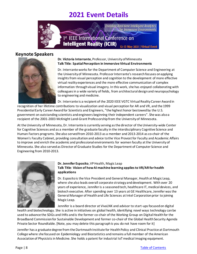

### **Keynote Speakers**

<span id="page-7-0"></span>

### **Dr. Victoria Interrante**, Professor, University of Minnesota **Talk Title**: **SpatialPerception in ImmersiveVirtual Environments**

Dr. Interrante works for the Department of Computer Science and Engineering at the University of Minnesota. Professor Interrante's research focuses on applying insights from visual perception and cognition to the development of more effective virtual reality experiences and the more effective communication of complex information through visual imagery. In this work, she has enjoyed collaborating with colleagues in a wide variety of fields, from architectural design and neuropsychology to engineering and medicine.

Dr. Interrante is a recipient of the 2020 IEEE VGTC Virtual Reality Career Awardin

recognition of her lifetime contributions to visualization and visual perception for AR and VR, and the 1999 Presidential Early Career Award for Scientists and Engineers, "the highest honor bestowed by the U.S. government on outstanding scientists and engineers beginning their independent careers". She was also a recipient of the 2001-2003 McKnight Land-Grant Professorship from the University of Minnesota.

At the University of Minnesota, Dr. Interrante is currently serving as the director of the University-wide Center for Cognitive Sciences and as a member of the graduate faculty in the interdisciplinary Cognitive Science and Human Factors programs. She also served from 2010-2013 as a member and 2013-2014 as co-chair of the Women's Faculty Cabinet, providing consultationand advice tothe Vice Provost for Faculty and Academic Affairs to improve and enrich the academic and professional environments for women faculty at the University of Minnesota. She also served as Director of Graduate Studies for the Department of Computer Science and Engineering from 2010-2013.



#### <span id="page-7-1"></span>**Dr. Jennifer Esposito**,VPHealth, Magic Leap **Talk Title**: **Vision of how AI machine learning applies to VR/AR for health applications**

Dr. Esposito is the Vice President and General Manager, Health at Magic Leap, where she also leads overall corporate strategy and development. With over 20 years of experience, Jennifer is a seasoned tech, healthcare IT, medical devices, and biotech executive. After spending over 13 years at GE Healthcare, Jennifer was the General Manager of Health and Life Sciences at Intel Corporation prior to joining Magic Leap.

Jennifer is a board director at VivaLNK and advisor to start-ups focused on digital

health and biotechnology. She is active in initiatives on global health, identifying novel ways technology can be used to advance the SDGs and IHRs and is the former co-chair of the Working Group on Digital Health for the Broadband Commission for Sustainable Development and former co-chair of the Global Health Security Agenda Private Sector Roundtable. [Note, you may delete this paragraphis you do not have room for it]

Jennifer has a graduate degree from the Dartmouth Institute for Health Policy and Clinical Practice at Dartmouth College where she focused on Epidemiology and Biostatistics and remains a full member of the American Association of Physicists in Medicine. She holds a patent for industrial IoT medical imaging equipment.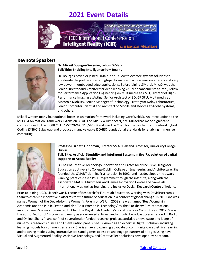

### **Keynote Speakers**

<span id="page-8-1"></span>

### **Dr. Mikaël Bourges-Sévenier**,Fellow, SiMa.ai **Talk Title**: **Enabling Intelligence fromReality**

Dr. Bourges-Sévenier joined SiMa.ai as a Fellow to oversee system solutions to accelerate the proliferation of high-performance machine learning inference at very low power in embedded edge applications. Before joining SiMa.ai, Mikaël was the Senior Director and Architect for deep learning visual enhancements at Intel, Fellow for Performance Application Engineering on Multimedia at AMD, Director of High-Performance Imaging at Aptina, Senior Architect of 3D, GPGPU, Multimedia at Motorola Mobility, Senior Manager of Technology Strategy at Dolby Laboratories, Senior Computer Scientist and Architect of Mobile and Devices at Adobe Systems, and others.

Mikaël written many foundational books in animation framework including Core Web3D, An Introduction to the MPEG-4 Animation Framework Extension (AFX), The MPEG-4 Jump Start, etc. Mikaël has made significant contributions to the ISO/IEC JTC 1/SC 29/WG 11 (MPEG) and was the Chair for the Synthetic and natural Hybrid Coding (SNHC) Subgroup and produced many valuable ISO/IEC foundational standards for enabling immersive computing.

<span id="page-8-0"></span>

**Professor Lizbeth Goodman**, Director SMARTlab and Professor, University College Dublin

**Talk Title**: **Artificial Stupidity and Intelligent Systems in the (R)evolution of digital supports to ActualReality**

is Chair of Creative Technology Innovation and Professor of Inclusive Design for Education at University College Dublin, College of Engineering and Architecture. She founded the SMARTlab in its first iteration in 1992, and has developed the award winning practice-based PhD Programme through the institute, along with the associated MAGIC Multimedia and Games Innovation Centre and Gamelab internationally as well as founding the Inclusive Design Research Centre of Ireland.

Prior to joining UCD, Lizbeth was Director of Research for Futurelab Education, working with David Puttnam's team to establish innovative platforms for the future of education in a context of global change. In 2019 she was named Woman of the Decade by the Women's Forum of WEF. In 2008 she was named 'Best Woman in Academia and the Public Sector' and also 'Best Woman in Technology' by the Blackberry Rim international awards panel. She was nominated to Chair the Royal Irish Academy's Social Sciences Committee in 2012. She is the author/editor of 14 books and many peer-reviewed articles, and a prolific broadcast presenter on TV, Radio and Online. She is PI and co-PI of several major funded research projects, and also an evaluator and judge of numerous research council and EC evaluation panels. She is known as an expert in Digital Inclusion, including learning models for communities at risk. She is an award-winning advocate of community-based ethical learning and teaching models using interactive tools and games to inspire and engage learners of all ages using novel Virtual and Augmented Reality, Assistive Technology, andCreative Techsolutions developed by herteam.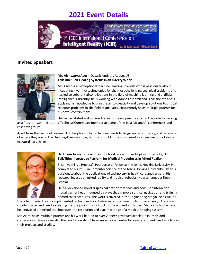

### <span id="page-9-0"></span>**Invited Speakers**

<span id="page-9-1"></span>

### **Mr. Aishwarya Asesh**,Data Scientist II, Adobe, US **Talk Title: Self Healing Systems in an Intelity World**

Mr. Asesh is an exceptional machine learning scientist who is passionate about incubating inventive technologies for the most challenging technical problems and has led to substantial contributions in the field of machine learning and artificial intelligence. Currently, he is working with Adobe research and is passionate about applying his knowledge to breathe air to creativity and develop solutions to critical research problems in the field of analytics. He currently holds multiple patents for his novel contributions.

He has facilitated and fostered research developments around the globe by serving

as a Program Committee and Technical Committee member at some of the best ML and AI conferences and researchgroups.

Apart from the hustle of research life, his philosophy is that one needs to be grounded in theory, and be aware of where they are on the Dunning-Krueger curve, but that shouldn't be considered as an excuse for not doing extraordinary things.

<span id="page-9-2"></span>

### **Dr. Ehsan Azimi**, Provost's Postdoctoral Fellow, Johns Hopkins University, US **Talk Title: Interactive Platformfor MedicalProceduresin Mixed Reality**

Ehsan Azimi is a Provost's Postdoctoral Fellow at the Johns Hopkins University. He completed his Ph.D. in Computer Science at the Johns Hopkins University. Ehsan is passionate about the applications of technology in healthcare and surgery. His research focuses on mixed reality and medical robotics. He was named a Siebel Scholar.

He has developed novel display calibration methods and new user interaction modalities for head-mounted displays that improve surgical navigation and training of medical procedures. The work is covered in the Engineering Magazine as well as

the other media. He also implemented techniques for robot-assisted cochlear implant placement, intraocular robotic snake, and needle steering. Before joining Johns Hopkins, he worked at Harvard Medical School where he innovated a method that improves the resolution and dynamic range of a medical imaging system.

Mr. Azimi holds multiple patents and his work has led to over 20 peer-reviewed articles in journals and conferences. He was awarded the Link Fellowship. Ehsan served as a mentor for several students and scholars in their projects and studies.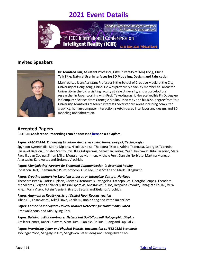

### **Invited Speakers**



#### <span id="page-10-1"></span>**Dr. Manfred Lau**, Assistant Professor, City University of Hong Kong, China **Talk Title: NaturalUserInterfacesfor 3D Modeling, Design, and Fabrication**

Manfred Lau is an Assistant Professor in the School of Creative Media at the City University of Hong Kong, China. He was previously a faculty member at Lancaster University in the UK, a visiting faculty at Yale University, and a post-doctoral researcher in Japan working with Prof. Takeo Igarashi. He received his Ph.D. degree in Computer Science from Carnegie Mellon University and his B.Sc. degree from Yale University. Manfred's research interests cover various areas including computer graphics, human-computer interaction, sketch-based interfaces and design, and 3D modeling and fabrication.

### <span id="page-10-0"></span>**Accepted Papers**

**IEEE ICIR Conference Proceedings can be accesse[d here](https://ieeexplore.ieee.org/xpl/conhome/9480800/proceeding) on** *IEEE Xplore***.**

### **Paper:** *xR4DRAMA: Enhancing Situation Awareness usingImmersive (XR)Technologies*

Spyridon Symeonidis, Sotiris Diplaris, Nicolaus Heise, Theodora Pistola, Athina Tsanousa, Georgios Tzanetis, Elissavet Batziou, Christos Stentoumis, Ilias Kalisperakis, Sebastian Freitag, Yash Shekhawat, Rita Paradiso, Maria Pacelli, Joan Codina, Simon Mille, Montserrat Marimon, Michele Ferri, Daniele Norbiato, Martina Monego, Anastasios Karakostas and Stefanos Vrochidis

## **Paper:** *Manipulating Avatarsfor Enhanced Communication in Extended Reality*

Jonathon Hart, Thammathip Piumsomboon, Gun Lee, Ross Smith and Mark Billinghurst

### **Paper:** *Creating Immersive Experiences basedon Intangible Cultural Heritage*

Theodora Pistola, Sotiris Diplaris, Christos Stentoumis, Evangelos Stathopoulos, Georgios Loupas, Theodore Mandilaras, Grigoris Kalantzis, IliasKalisperakis,Anastasios Tellios, Despoina Zavraka,Panagiota Koulali, Vera Kriezi, Valia Vraka, Foteini Venieri, Stratos Bacalis and Stefanos Vrochidis

**Paper:** *Augmented Reality AssistedOrbital Floor Reconstruction* Yihao Liu, EhsanAzimi, Nikhil Dave, CecilQiu, Robin Yang and Peter Kazanzides

### **Paper:** *Corner-based Square Fiducial Marker Detectionfor Hand-manipulated*

BreawnSchoun and Min-Hyung Choi

**Paper:** *Building a Motion-Aware, NetworkedDo-It-Yourself Holographic Display* AmilcarGomez, Javier Talavera, Siem Sium, Biao Xie, Haikun Huang and Lap-Fal Yu

**Paper:** *Interfacing Cyber and Physical Worlds: Introduction toIEEE 2888 Standards* Kyoungro Yoon, Sang-Kyun Kim, Sangkwon PeterJeong and Jeong-HwanChoi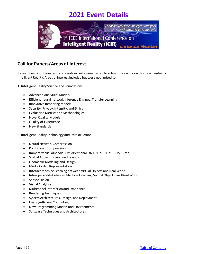

## <span id="page-11-0"></span>**Call for Papers/Areas of Interest**

Researchers, industries, and standards experts were invited to submit their work on this new frontier of Intelligent Reality. Areas of interest included but were not limited to:

1. Intelligent Reality Science and Foundations

- Advanced Analytical Models
- Efficient neural network inference Engines, Transfer Learning
- Innovative Rendering Models
- Security, Privacy, Integrity, and Ethics
- Evaluation Metrics and Methodologies
- Novel Quality Models
- Quality of Experience
- New Standards
- 2. Intelligent Reality Technology and Infrastructure
	- Neural Network Compression
	- Point Cloud Compression
	- Immersive Visual Media: Omidirectional, 360, 3DoF, 3DoF, 6DoF+, etc.
	- Spatial Audio, 3D Surround Sounds
	- Geometric Modeling and Design
	- Media Coded Representation
	- Interact Machine Learning between Virtual Objects and Real World
	- Interoperability between Machine Learning, Virtual Objects, and Real World
	- Sensor Fusion
	- Visual Analytics
	- Multimodel Interaction and Experience
	- Rendering Techniques
	- System Architectures, Design, and Deployment
	- Energy-efficient Computing
	- New Programming Models and Environments
	- Software Techniques and Architectures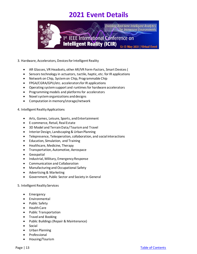

### 3. Hardware, Accelerators, Devices for Intelligent Reality

- AR Glasses, VR Headsets, other AR/VR Form-Factors, Smart Devices (
- Sensors technology in actuators, tactile, haptic, etc. for IR applications
- Network on Chip, System on Chip, Programmable Chip
- FPGA/CGRA/GPU/etc. accelerators for IR applications
- Operating system support and runtimes for hardware accelerators
- Programming models and platforms for accelerators
- Novel system organizations and designs
- Computation in memory/storage/network

#### 4. Intelligent Reality Applications

- Arts, Games, Leisure, Sports, and Entertainment
- E-commerce, Retail, Real Estate
- 3D Model and Terrain Data/Tourism and Travel
- Interior Design, Landscaping & Urban Planning
- Telepresence, Teleoperation, collaboration, and social interactions
- Education, Simulation, and Training
- Healthcare, Medicine, Therapy
- Transportation, Automotive, Aerospace
- Geospatial
- Industrial, Military, Emergency Response
- Communication and Collaboration
- Manufacturing and Occupational Safety
- Advertising & Marketing
- Government, Public Sector and Society in General

#### 5. Intelligent Reality Services

- Emergency
- Environmental
- Public Safety
- Health Care
- Public Transportation
- Travel and Booking
- Public Buildings(Repair & Maintenance)
- Social
- Urban Planning
- **Professional**
- Housing/Tourism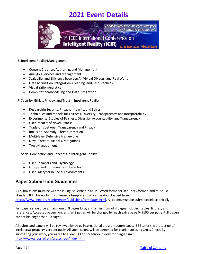

#### 6. Intelligent Reality Management

- Content Creation, Authoring, and Management
- Analytics Services and Management
- Scalability and Efficiency between AI, Virtual Objects, and Real World
- Data Acquisition, Integration, Cleaning, and Best Practices
- Visualization Analytics
- Computational Modeling and Data Integration
- 7. Security, Ethics, Privacy, and Trust in Intelligent Reality
	- Research in Security, Privacy, Integrity, and Ethics
	- Techniques and Models for Fairness, Diversity, Transparency, and Interpretability
	- Experimental Studies of Fairness, Diversity, Accountability, and Transparency
	- User Impacts of Novel Attacks
	- Trade-offs between Transparency and Privacy
	- Intrusion, Anomaly, Threat Detection
	- Multi-layer Defensive Frameworks
	- Novel Threats, Attacks, Mitigations
	- Trust Management

8. Social Connection and Concerns in Intelligent Reality

- User Behaviors and Psychology
- Groups and Communities Interaction
- User Safety for in Social Environments

### <span id="page-13-0"></span>**Paper Submission Guidelines**

All submissions must be written in English, either in an MS Word format or in a Latex format, and must use standard IEEE two-column conference templates that can be downloaded from: <https://www.ieee.org/conferences/publishing/templates.html>. All papers must be submitted electronically.

Full papers should be a maximum of 8 pages long, and a minimum of 4 pages including tables, figures, and references. Accepted papers longer than 8 pages will be charged for each extra page  $\omega$  \$100 per page. Full papers cannot be longer than 10 pages.

All submitted papers will be reviewed by three international program committees. IEEE takes the protection of intellectual property very seriously. All submissions will be screened for plagiarism using Cross Check. By submitting your work, you agree to allow IEEE to screen your work for plagiarism: <http://www.crossref.org/crosscheck/index.html>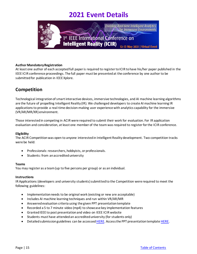

#### **Author Mandatory Registration**

<span id="page-14-0"></span>At least one author of each accepted full paper is required to register to ICIR to have his/her paper published in the IEEE ICIR conference proceedings. The full paper must be presented at the conference by one author to be submitted for publication in IEEE Xplore.

### **Competition**

Technological integration of smart interactive devices, immersive technologies, and AI machine learning algorithms are the future of propelling Intelligent Reality (IR). We challenged developers to create AI machine learning IR applications to provide a real-time decision-making user experience with analytics capability for the immersive (VR/AR/MR/XR) environment.

Those interested in competing in ACIR were required to submit their work for evaluation. For IR application evaluation and consideration, at least one member of the team was required to register for the ICIR conference.

#### **Eligibility**

The ACIR Competition was open to anyone interested in Intelligent Reality development. Two competition tracks were be held:

- Professionals: researchers, hobbyists, or professionals.
- Students: from an accredited university

#### **Teams**

You may register as a team (up to five persons per group) or as an individual.

#### **Instructions**

IR Applications (developers and university students) submitted to the Competition were required to meet the following guidelines:

- Implementation needs to be original work (existing or new are acceptable)
- Includes AI machine learning techniques and run within VR/AR/MR
- Answered evaluation criteria using the given PPT presentation template
- Recorded a 5 to 7 minute video (mp4) to showcase key implementation features
- GrantedIEEE to post presentation and video on IEEE ICIR website
- Students must have attended an accredited university (for students only)
- Detailed submission guidelines can be accesse[d HERE](https://icir.ieee.org/wp-content/uploads/sites/290/2021/02/ACIR-ICIR-CompetitionSubmissionGuidelines.pdf). Access the PPT presentation templat[e HERE.](https://icir.ieee.org/wp-content/uploads/sites/290/2021/02/1ACIR-Competition_Presentation_Template.pptx)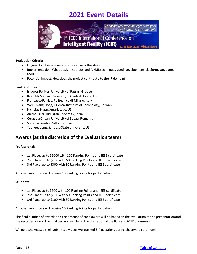

#### **Evaluation Criteria**

- Originality: How unique and innovative is the idea?
- Implementation: What design methods and AI/ML techniques used, development platform, language, tools
- Potential Impact: How does the project contribute to the IR domain?

#### **Evaluation Team**

- Isidoros Perikos, University of Patras, Greece
- Ryan McMahan, University of Central Florida, US
- Francesco Ferrise, Politecnico di Milano, Italy
- Wei-Chiang Hong, Oriental Institute of Technology, Taiwan
- Nicholas Napp, Xmark Labs, US
- Anitha Pillai, Hidustan University, India
- Cerasela Crisan, University of Bacau, Romania
- Stefania Serafin, Zuffo, Denmark
- Taehee Jeong, San Jose State University, US

### <span id="page-15-0"></span>**Awards (at the discretion of the Evaluation team)**

#### **Professionals:**

- 1st Place: up to \$1000 with 100 Ranking Points and IEEE certificate
- 2nd Place: up to \$500 with 50 Ranking Points and IEEE certificate
- 3rd Place: up to \$300 with 30 Ranking Points and IEEE certificate

All other submitters will receive 10 Ranking Points for participation

#### **Students:**

- 1st Place: up to \$500 with 100 Ranking Points and IEEE certificate
- 2nd Place: up to \$300 with 50 Ranking Points and IEEE certificate
- 3rd Place: up to \$100 with 30 Ranking Points and IEEE certificate

All other submitters will receive 10 Ranking Points for participation

The final number of awards and the amount of each award will be based on the evaluation of the presentation and the recorded video. The final decision will be at the discretion of the ICIR and ACIR organizers.

Winners showcasedtheir submitted videos were asked 3-4 questions during the award ceremony.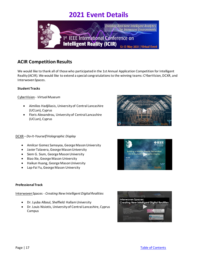

### <span id="page-16-0"></span>**ACIR Competition Results**

We would like to thank all of those who participated in the 1st Annual Application Competition for Intelligent Reality (ACIR). We would like to extend a special congratulations to the winning teams: CYberVision, DCXR, and Interwoven Spaces.

### **Student Tracks**

### CyberVision*- Virtual Museum*

- Aimilios Hadjiliasis, University of Central Lancashire (UCLan), Cyprus
- Floris Alexandrou, University of Central Lancashire (UCLan), Cyprus

### DCXR –*Do-It-Yourself Holographic Display*

- Amilcar Gomez Samayoa, George Mason University
- Javier Talavera, George Mason University
- Siem G. Sium, George Mason University
- Biao Xie, George Mason University
- Haikun Huang, George Mason University
- Lap-Fai Yu, George Mason University





#### **Professional Track**

Interwoven Spaces - *Creating New Intelligent Digital Realities*

- Dr. Lyuba Alboul, Sheffield Hallam University
- Dr. Louis Nisiotis, University of Central Lancashire, Cyprus Campus

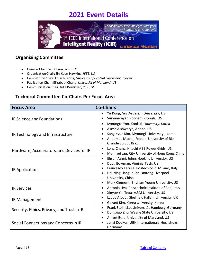

### <span id="page-17-0"></span>**Organizing Committee**

- General Chair: Wo Chang, *NIST, US*
- Organization Chair: Sin-Kuen Hawkins, *IEEE, US*
- Competition Chair: Louis Nisiotis, *University of Central Lancashire, Cyprus*
- Publication Chair: Elizabeth Chang, *University of Maryland, US*
- Communication Chair: Julie Bernicker, *IEEE, US*

### <span id="page-17-1"></span>**Technical Committee Co-Chairs Per Focus Area**

| <b>Focus Area</b>                          | <b>Co-Chairs</b>                                                                                                                                                                                             |  |
|--------------------------------------------|--------------------------------------------------------------------------------------------------------------------------------------------------------------------------------------------------------------|--|
| IR Science and Foundations                 | Yu Kong, Northeastern University, US<br>Suryanarayan Poonam, Google, US                                                                                                                                      |  |
|                                            | Kyoungro Yoo, Konkuk University, Korea                                                                                                                                                                       |  |
| IR Technology and Infrastructure           | Asesh Aishwarya, Adobe, US<br>$\bullet$<br>Sang Kyun Kim, Myoungil University., Korea<br>Anderson Maciel, Federal University of Rio<br>Grande do Sul, Brazil                                                 |  |
| Hardware, Accelerators, and Devices for IR | Long Cheng, Hitachi ABB Power Grids, US<br>$\bullet$<br>Manfred Lau, City University of Hong Kong, China                                                                                                     |  |
| IR Applications                            | Ehsan Azimi, Johns Hopkins University, US<br>$\bullet$<br>Doug Bowman, Virginia Tech, US<br>Francesco Ferrise, Politecnico di MIlano, Italy<br>Hai-Ning Liang, Xi'an Jiaotong-Liverpool<br>University, China |  |
| <b>IR Services</b>                         | Mark Clement, Brigham Young University, US<br>$\bullet$<br>Antonio Uva, Polytechnic Institute of Bari, Italy<br>Xinyue Ye, Texas A&M University, US                                                          |  |
| IR Management                              | Lyuba Alboul, Sheffield Hallam University, UK<br>$\bullet$<br>Gerard Kim, Korea University, Korea                                                                                                            |  |
| Security, Ethics, Privacy, and Trust in IR | Frank Steinicke, Universität Hamburg, Germany<br>$\bullet$<br>Dongxiao Zhu, Wayne State University, US                                                                                                       |  |
| Social Connections and Concerns in IR      | Aniket Bera, University of Maryland, US<br>$\bullet$<br>Janki Dodiya, IUBH Internationale Hochshule,<br>Germany                                                                                              |  |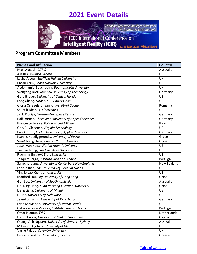

## <span id="page-18-0"></span>**Program Committee Members**

| <b>Names and Affiliation</b>                          | <b>Country</b> |  |
|-------------------------------------------------------|----------------|--|
| Matt Adcock, CSIRO                                    | Australia      |  |
| Asesh Aishwarya, Adobe                                |                |  |
| Lyuba Alboul, Sheffield Hallam University             | UK             |  |
| Ehsan Azimi, Johns Hopkins University                 | US             |  |
| Abdelhamid Bouchachia, Bournemouth University         | UK             |  |
| Wolfgang Broll, Ilmenau University of Technology      | Germany        |  |
| Gerd Bruder, University of Central Florida            | <b>US</b>      |  |
| Long Cheng, Hitachi ABB Power Grids                   | US             |  |
| Gloria Cerasela Crisan, University of Bacau           | Romania        |  |
| Sauptik Dhar, LG Electronics                          | US             |  |
| Janki Dodiya, German Aerospace Centre                 | Germany        |  |
| Ralf Dörner, RheinMain University of Applied Sciences | Germany        |  |
| Francesco Ferrise, Politecnico di Milano              | Italy          |  |
| Gary B. Glesener, Virginia Technology                 | <b>US</b>      |  |
| Paul Grimm, Fulda University of Applied Sciences      | Germany        |  |
| Ioannis Hatzilygeroudis, University of Patras         | Grece          |  |
| Wei-Chiang Hong, Jiangsu Normal University            | China          |  |
| Jason Van Hulse, Florida Atlantic University          | US             |  |
| Taehee Jeong, San Jose State University               | <b>US</b>      |  |
| Ruoming Jin, Kent State University                    | <b>US</b>      |  |
| Joaquim Jorge, Instituto Superior Técnico             | Portugal       |  |
| Sungchul Jung, University of Canterbury New Zealand   | New Zealand    |  |
| Latifur Khan, The University of Texas at Dallas       | US             |  |
| Yingjie Lao, Clemson University                       | US             |  |
| Manfred Lau, City University of Hong Kong             | China          |  |
| Gun Lee, University of South Australia                | Australia      |  |
| Hai-Ning Liang, Xi'an Jiaotong-Liverpool University   | China          |  |
| Liang Liang, University of Miami                      | <b>US</b>      |  |
| Li Liao, University of Delaware                       | <b>US</b>      |  |
| Jean-Luc Lugrin, University of Würzburg               | Germany        |  |
| Ryan McMahan, University of Central Florida           | US             |  |
| Catarina Pinto Moreira, Instituto Superior Técnico    | Portugal       |  |
| Omar Niamut, TNO                                      | Netherlands    |  |
| Louis Nisiotis, University of Central Lancashire      | Cyprus         |  |
| Quang Vinh Nquyen, University of Western Sydney       | Australia      |  |
| Mitsunori Ogihara, University of Miami                | <b>US</b>      |  |
| Vasile Palade, Coventry University                    | UK             |  |
| Isidoros Perikos, University of Patras                | Greece         |  |